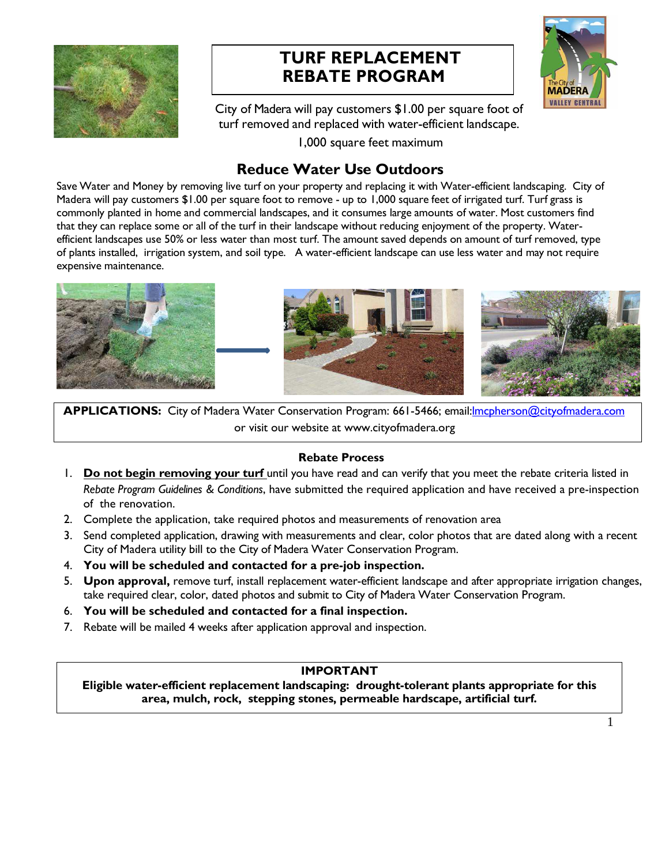

# **TURF REPLACEMENT REBATE PROGRAM**



City of Madera will pay customers \$1.00 per square foot of turf removed and replaced with water-efficient landscape.

1,000 square feet maximum

# **Reduce Water Use Outdoors**

Save Water and Money by removing live turf on your property and replacing it with Water-efficient landscaping. City of Madera will pay customers \$1.00 per square foot to remove - up to 1,000 square feet of irrigated turf. Turf grass is commonly planted in home and commercial landscapes, and it consumes large amounts of water. Most customers find that they can replace some or all of the turf in their landscape without reducing enjoyment of the property. Waterefficient landscapes use 50% or less water than most turf. The amount saved depends on amount of turf removed, type of plants installed, irrigation system, and soil type. A water-efficient landscape can use less water and may not require expensive maintenance.



**APPLICATIONS:** City of Madera Water Conservation Program: 661-5466; email:lmcpherson@cityofmadera.com or visit our website at www.cityofmadera.org

## **Rebate Process**

- 1. **Do not begin removing your turf** until you have read and can verify that you meet the rebate criteria listed in *Rebate Program Guidelines & Conditions*, have submitted the required application and have received a pre-inspection of the renovation.
- 2. Complete the application, take required photos and measurements of renovation area
- 3. Send completed application, drawing with measurements and clear, color photos that are dated along with a recent City of Madera utility bill to the City of Madera Water Conservation Program.
- 4. **You will be scheduled and contacted for a pre-job inspection.**
- 5. **Upon approval,** remove turf, install replacement water-efficient landscape and after appropriate irrigation changes, take required clear, color, dated photos and submit to City of Madera Water Conservation Program.
- 6. **You will be scheduled and contacted for a final inspection.**
- 7. Rebate will be mailed 4 weeks after application approval and inspection.

# **IMPORTANT**

**Eligible water-efficient replacement landscaping: drought-tolerant plants appropriate for this area, mulch, rock, stepping stones, permeable hardscape, artificial turf.**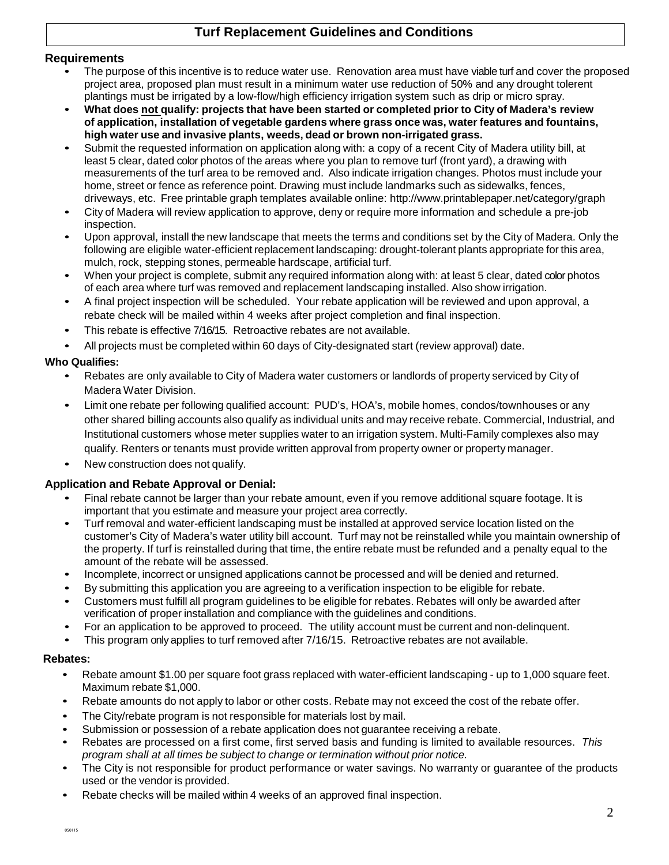# **Turf Replacement Guidelines and Conditions**

#### **Requirements**

- The purpose of this incentive is to reduce water use. Renovation area must have viable turf and cover the proposed project area, proposed plan must result in a minimum water use reduction of 50% and any drought tolerent plantings must be irrigated by a low-flow/high efficiency irrigation system such as drip or micro spray.
- **What does not qualify: projects that have been started or completed prior to City of Madera's review of application, installation of vegetable gardens where grass once was, water features and fountains, high water use and invasive plants, weeds, dead or brown non-irrigated grass.**
- Submit the requested information on application along with: a copy of a recent City of Madera utility bill, at least 5 clear, dated color photos of the areas where you plan to remove turf (front yard), a drawing with measurements of the turf area to be removed and. Also indicate irrigation changes. Photos must include your home, street or fence as reference point. Drawing must include landmarks such as sidewalks, fences, driveways, etc. Free printable graph templates available online: http://www.printablepaper.net/category/graph
- City of Madera will review application to approve, deny or require more information and schedule a pre-job inspection.
- Upon approval, install the new landscape that meets the terms and conditions set by the City of Madera. Only the following are eligible water-efficient replacement landscaping: drought-tolerant plants appropriate for this area, mulch, rock, stepping stones, permeable hardscape, artificial turf.
- When your project is complete, submit any required information along with: at least 5 clear, dated color photos of each area where turf was removed and replacement landscaping installed. Also show irrigation.
- A final project inspection will be scheduled. Your rebate application will be reviewed and upon approval, a rebate check will be mailed within 4 weeks after project completion and final inspection.
- This rebate is effective 7/16/15. Retroactive rebates are not available.
- All projects must be completed within 60 days of City-designated start (review approval) date.

## **Who Qualifies:**

- Rebates are only available to City of Madera water customers or landlords of property serviced by City of Madera Water Division.
- Limit one rebate per following qualified account: PUD's, HOA's, mobile homes, condos/townhouses or any other shared billing accounts also qualify as individual units and may receive rebate. Commercial, Industrial, and Institutional customers whose meter supplies water to an irrigation system. Multi-Family complexes also may qualify. Renters or tenants must provide written approval from property owner or property manager.
- New construction does not qualify.

## **Application and Rebate Approval or Denial:**

- Final rebate cannot be larger than your rebate amount, even if you remove additional square footage. It is important that you estimate and measure your project area correctly.
- Turf removal and water-efficient landscaping must be installed at approved service location listed on the customer's City of Madera's water utility bill account. Turf may not be reinstalled while you maintain ownership of the property. If turf is reinstalled during that time, the entire rebate must be refunded and a penalty equal to the amount of the rebate will be assessed.
- Incomplete, incorrect or unsigned applications cannot be processed and will be denied and returned.
- By submitting this application you are agreeing to a verification inspection to be eligible for rebate.
- Customers must fulfill all program guidelines to be eligible for rebates. Rebates will only be awarded after verification of proper installation and compliance with the guidelines and conditions.
- For an application to be approved to proceed. The utility account must be current and non-delinquent.
- This program only applies to turf removed after 7/16/15. Retroactive rebates are not available.

#### **Rebates:**

- Rebate amount \$1,00 per square foot grass replaced with water-efficient landscaping up to 1,000 square feet. Maximum rebate \$1,000.
- Rebate amounts do not apply to labor or other costs. Rebate may not exceed the cost of the rebate offer.
- The City/rebate program is not responsible for materials lost by mail.
- Submission or possession of a rebate application does not guarantee receiving a rebate.
- Rebates are processed on a first come, first served basis and funding is limited to available resources. This program shall at all times be subject to change or termination without prior notice.
- The City is not responsible for product performance or water savings. No warranty or quarantee of the products used or the vendor is provided.
- Rebate checks will be mailed within 4 weeks of an approved final inspection.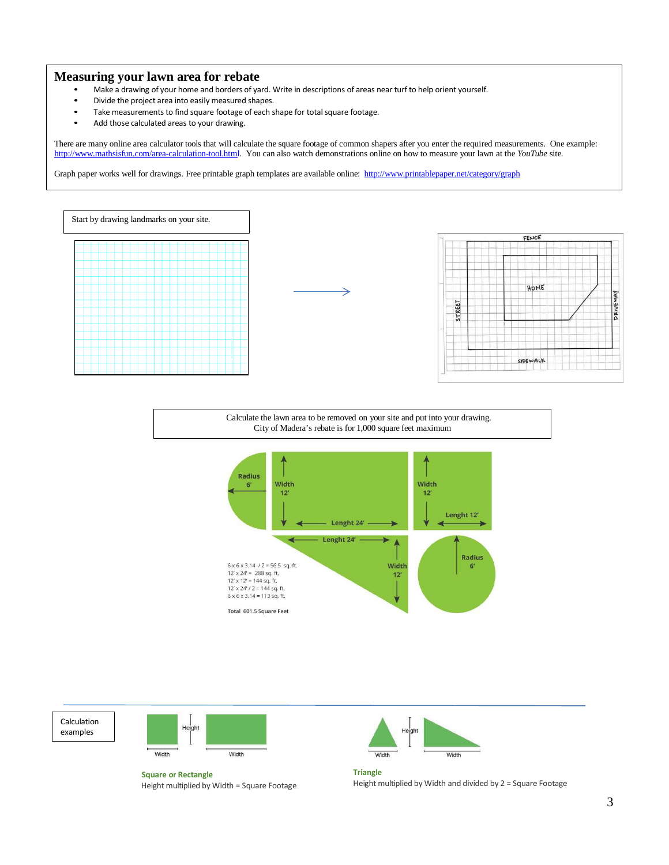#### **Measuring your lawn area for rebate**

- Make a drawing of your home and borders of yard. Write in descriptions of areas near turf to help orient yourself.
- Divide the project area into easily measured shapes.
- Take measurements to find square footage of each shape for total square footage.
- Add those calculated areas to your drawing.

There are many online area calculator tools that will calculate the square footage of common shapers after you enter the required measurements. One example: http://www.mathsisfun.com/area-calculation-tool.html. You can also watch demonstrations online on how to measure your lawn at the *YouTube* site.

Graph paper works well for drawings. Free printable graph templates are available online: http://www.printablepaper.net/category/graph









**Square or Rectangle** Height multiplied by Width = Square Footage



**Triangle** Height multiplied by Width and divided by 2 = Square Footage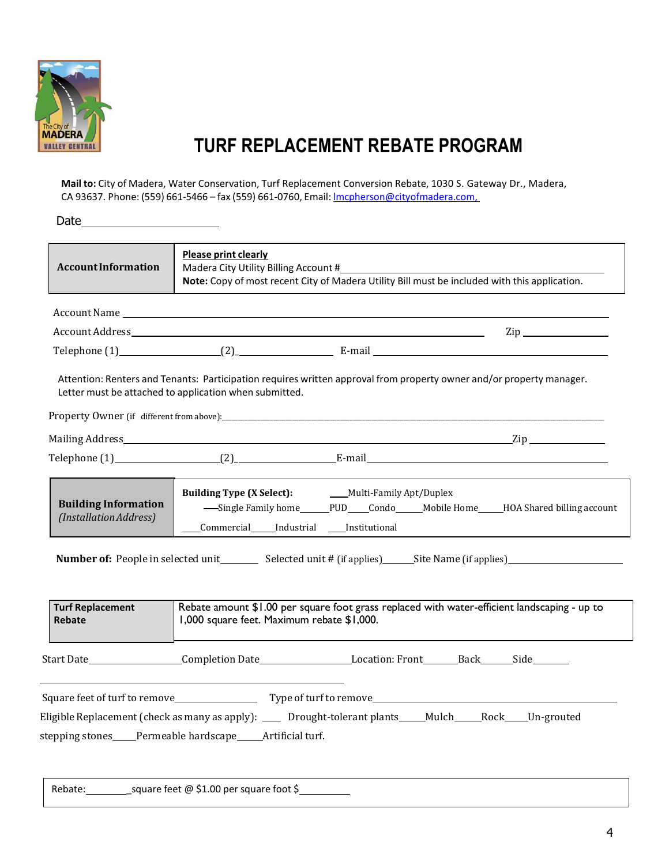

# **TURF REPLACEMENT REBATE PROGRAM**

**Mail to:** City of Madera, Water Conservation, Turf Replacement Conversion Rebate, 1030 S. Gateway Dr., Madera, CA 93637. Phone: (559) 661-5466 – fax (559) 661-0760, Email: lmcpherson@cityofmadera.com,

Date\_

| <b>AccountInformation</b>                                                                                                                                                                                                                                                                                 | <b>Please print clearly</b> | Madera City Utility Billing Account #                                                                   | Note: Copy of most recent City of Madera Utility Bill must be included with this application.                                                                                                                                      |
|-----------------------------------------------------------------------------------------------------------------------------------------------------------------------------------------------------------------------------------------------------------------------------------------------------------|-----------------------------|---------------------------------------------------------------------------------------------------------|------------------------------------------------------------------------------------------------------------------------------------------------------------------------------------------------------------------------------------|
|                                                                                                                                                                                                                                                                                                           |                             |                                                                                                         |                                                                                                                                                                                                                                    |
|                                                                                                                                                                                                                                                                                                           |                             |                                                                                                         |                                                                                                                                                                                                                                    |
|                                                                                                                                                                                                                                                                                                           |                             |                                                                                                         | Telephone $(1)$ $(2)$ $E$ -mail $\frac{1}{2}$                                                                                                                                                                                      |
| Letter must be attached to application when submitted.                                                                                                                                                                                                                                                    |                             |                                                                                                         | Attention: Renters and Tenants: Participation requires written approval from property owner and/or property manager.                                                                                                               |
|                                                                                                                                                                                                                                                                                                           |                             |                                                                                                         |                                                                                                                                                                                                                                    |
|                                                                                                                                                                                                                                                                                                           |                             |                                                                                                         |                                                                                                                                                                                                                                    |
|                                                                                                                                                                                                                                                                                                           |                             |                                                                                                         | Telephone $(1)$ $(2)$ $E$ -mail                                                                                                                                                                                                    |
| <b>Building Information</b><br>(Installation Address)                                                                                                                                                                                                                                                     |                             | <b>Building Type (X Select):</b> Multi-Family Apt/Duplex<br>Commercial_____Industrial ____Institutional | -Single Family home_______PUD_____Condo______Mobile Home_____HOA Shared billing account                                                                                                                                            |
| <b>Number of:</b> People in selected unit _____________ Selected unit # (if applies)__________________________________<br>Rebate amount \$1.00 per square foot grass replaced with water-efficient landscaping - up to<br><b>Turf Replacement</b><br>1,000 square feet. Maximum rebate \$1,000.<br>Rebate |                             |                                                                                                         |                                                                                                                                                                                                                                    |
|                                                                                                                                                                                                                                                                                                           |                             |                                                                                                         | Start Date <b>Mate Start Date Start Date Start Date Start Date Start Date Start Date Start Date Start Date Start Date Start Date Start Date Start Date Start Date Start Date Start Date Start Date Start Date Start Date Start</b> |
|                                                                                                                                                                                                                                                                                                           |                             |                                                                                                         |                                                                                                                                                                                                                                    |
|                                                                                                                                                                                                                                                                                                           |                             |                                                                                                         | Eligible Replacement (check as many as apply): ____ Drought-tolerant plants____Mulch____Rock___Un-grouted                                                                                                                          |
| stepping stones____Permeable hardscape____Artificial turf.                                                                                                                                                                                                                                                |                             |                                                                                                         |                                                                                                                                                                                                                                    |
|                                                                                                                                                                                                                                                                                                           |                             |                                                                                                         |                                                                                                                                                                                                                                    |

Rebate: \_\_\_\_\_\_\_\_\_\_\_\_\_\_\_\_\_square feet @ \$1.00 per square foot \$\_